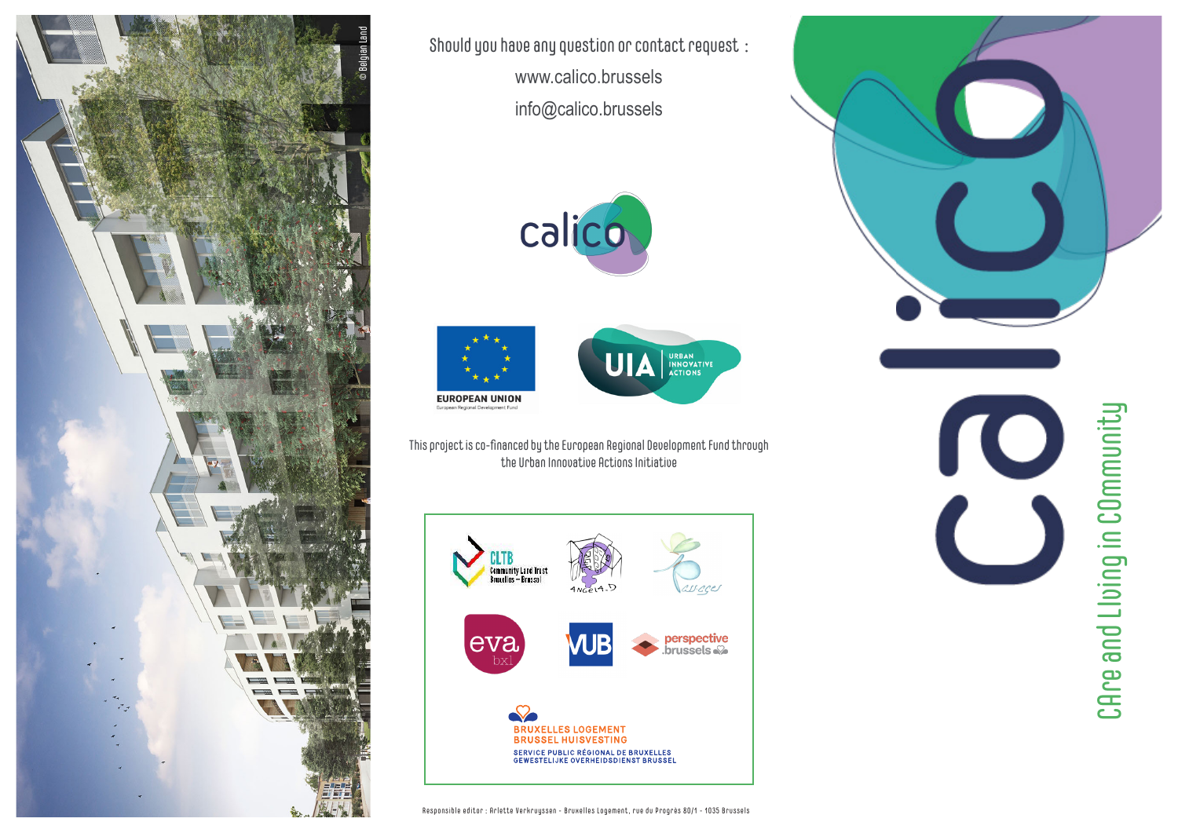

Should you have any question or contact request : www.calico.brussels info@calico.brussels







This project is co-financed by the European Regional Development Fund through the Urban Innovative Actions Initiative





CAre and Llving in COmmunity CAre and LIving in COmmunity